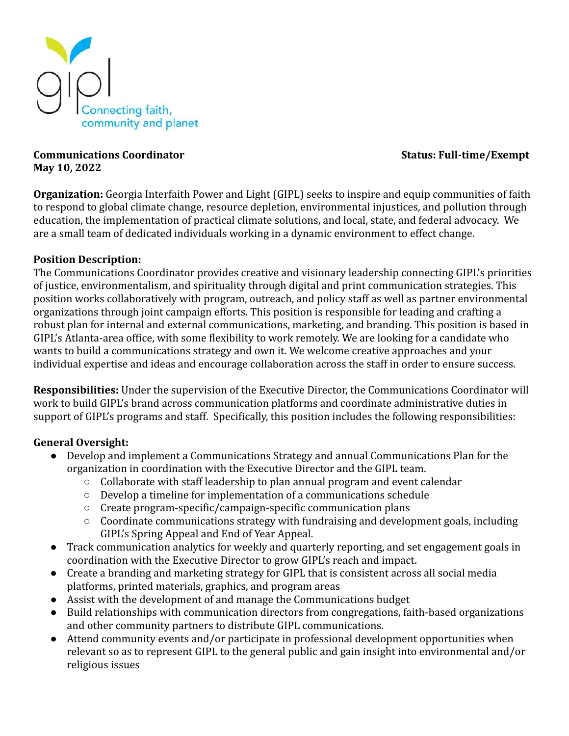

#### **Communications Coordinator Status: Full-time/Exempt May 10, 2022**

**Organization:** Georgia Interfaith Power and Light (GIPL) seeks to inspire and equip communities of faith to respond to global climate change, resource depletion, environmental injustices, and pollution through education, the implementation of practical climate solutions, and local, state, and federal advocacy. We are a small team of dedicated individuals working in a dynamic environment to effect change.

### **Position Description:**

The Communications Coordinator provides creative and visionary leadership connecting GIPL's priorities of justice, environmentalism, and spirituality through digital and print communication strategies. This position works collaboratively with program, outreach, and policy staff as well as partner environmental organizations through joint campaign efforts. This position is responsible for leading and crafting a robust plan for internal and external communications, marketing, and branding. This position is based in GIPL's Atlanta-area office, with some flexibility to work remotely. We are looking for a candidate who wants to build a communications strategy and own it. We welcome creative approaches and your individual expertise and ideas and encourage collaboration across the staff in order to ensure success.

**Responsibilities:** Under the supervision of the Executive Director, the Communications Coordinator will work to build GIPL's brand across communication platforms and coordinate administrative duties in support of GIPL's programs and staff. Specifically, this position includes the following responsibilities:

### **General Oversight:**

- Develop and implement a Communications Strategy and annual Communications Plan for the organization in coordination with the Executive Director and the GIPL team.
	- Collaborate with staff leadership to plan annual program and event calendar
	- Develop a timeline for implementation of a communications schedule
	- Create program-specific/campaign-specific communication plans
	- Coordinate communications strategy with fundraising and development goals, including GIPL's Spring Appeal and End of Year Appeal.
- Track communication analytics for weekly and quarterly reporting, and set engagement goals in coordination with the Executive Director to grow GIPL's reach and impact.
- Create a branding and marketing strategy for GIPL that is consistent across all social media platforms, printed materials, graphics, and program areas
- Assist with the development of and manage the Communications budget
- Build relationships with communication directors from congregations, faith-based organizations and other community partners to distribute GIPL communications.
- Attend community events and/or participate in professional development opportunities when relevant so as to represent GIPL to the general public and gain insight into environmental and/or religious issues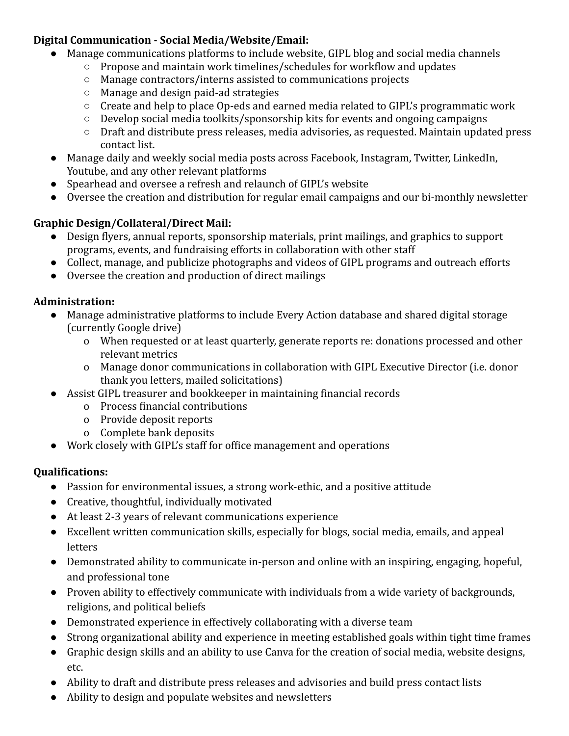# **Digital Communication - Social Media/Website/Email:**

- Manage communications platforms to include website, GIPL blog and social media channels
	- Propose and maintain work timelines/schedules for workflow and updates
	- Manage contractors/interns assisted to communications projects
	- Manage and design paid-ad strategies
	- Create and help to place Op-eds and earned media related to GIPL's programmatic work
	- Develop social media toolkits/sponsorship kits for events and ongoing campaigns
	- Draft and distribute press releases, media advisories, as requested. Maintain updated press contact list.
- Manage daily and weekly social media posts across Facebook, Instagram, Twitter, LinkedIn, Youtube, and any other relevant platforms
- Spearhead and oversee a refresh and relaunch of GIPL's website
- Oversee the creation and distribution for regular email campaigns and our bi-monthly newsletter

# **Graphic Design/Collateral/Direct Mail:**

- Design flyers, annual reports, sponsorship materials, print mailings, and graphics to support programs, events, and fundraising efforts in collaboration with other staff
- Collect, manage, and publicize photographs and videos of GIPL programs and outreach efforts
- Oversee the creation and production of direct mailings

## **Administration:**

- Manage administrative platforms to include Every Action database and shared digital storage (currently Google drive)
	- o When requested or at least quarterly, generate reports re: donations processed and other relevant metrics
	- o Manage donor communications in collaboration with GIPL Executive Director (i.e. donor thank you letters, mailed solicitations)
- Assist GIPL treasurer and bookkeeper in maintaining financial records
	- o Process financial contributions
	- o Provide deposit reports
	- o Complete bank deposits
- Work closely with GIPL's staff for office management and operations

# **Qualifications:**

- Passion for environmental issues, a strong work-ethic, and a positive attitude
- Creative, thoughtful, individually motivated
- At least 2-3 years of relevant communications experience
- Excellent written communication skills, especially for blogs, social media, emails, and appeal letters
- Demonstrated ability to communicate in-person and online with an inspiring, engaging, hopeful, and professional tone
- Proven ability to effectively communicate with individuals from a wide variety of backgrounds, religions, and political beliefs
- Demonstrated experience in effectively collaborating with a diverse team
- Strong organizational ability and experience in meeting established goals within tight time frames
- Graphic design skills and an ability to use Canva for the creation of social media, website designs, etc.
- Ability to draft and distribute press releases and advisories and build press contact lists
- Ability to design and populate websites and newsletters